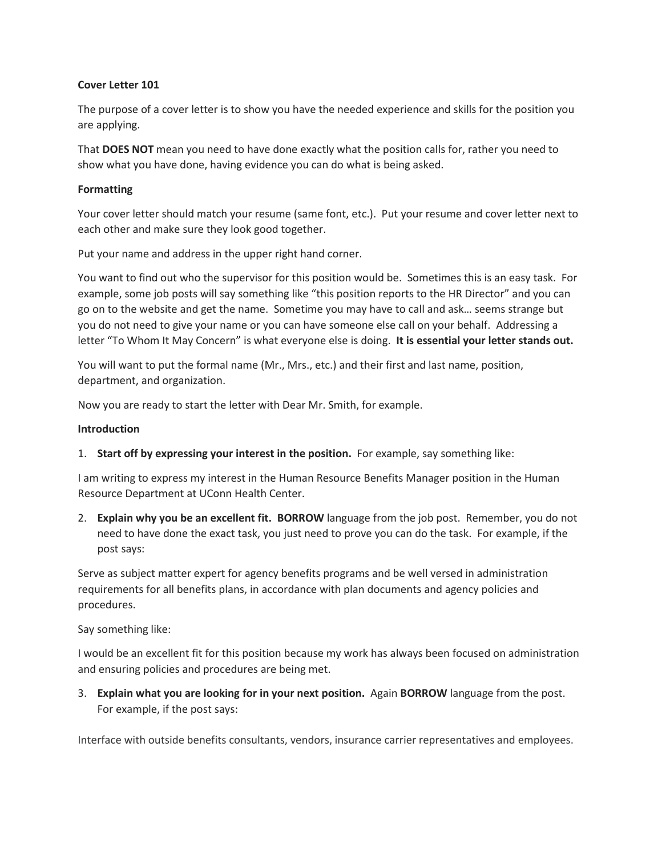## **Cover Letter 101**

The purpose of a cover letter is to show you have the needed experience and skills for the position you are applying.

That **DOES NOT** mean you need to have done exactly what the position calls for, rather you need to show what you have done, having evidence you can do what is being asked.

## **Formatting**

Your cover letter should match your resume (same font, etc.). Put your resume and cover letter next to each other and make sure they look good together.

Put your name and address in the upper right hand corner.

You want to find out who the supervisor for this position would be. Sometimes this is an easy task. For example, some job posts will say something like "this position reports to the HR Director" and you can go on to the website and get the name. Sometime you may have to call and ask… seems strange but you do not need to give your name or you can have someone else call on your behalf. Addressing a letter "To Whom It May Concern" is what everyone else is doing. **It is essential your letter stands out.**

You will want to put the formal name (Mr., Mrs., etc.) and their first and last name, position, department, and organization.

Now you are ready to start the letter with Dear Mr. Smith, for example.

#### **Introduction**

1. **Start off by expressing your interest in the position.** For example, say something like:

I am writing to express my interest in the Human Resource Benefits Manager position in the Human Resource Department at UConn Health Center.

2. **Explain why you be an excellent fit. BORROW** language from the job post. Remember, you do not need to have done the exact task, you just need to prove you can do the task. For example, if the post says:

Serve as subject matter expert for agency benefits programs and be well versed in administration requirements for all benefits plans, in accordance with plan documents and agency policies and procedures.

Say something like:

I would be an excellent fit for this position because my work has always been focused on administration and ensuring policies and procedures are being met.

3. **Explain what you are looking for in your next position.** Again **BORROW** language from the post. For example, if the post says:

Interface with outside benefits consultants, vendors, insurance carrier representatives and employees.